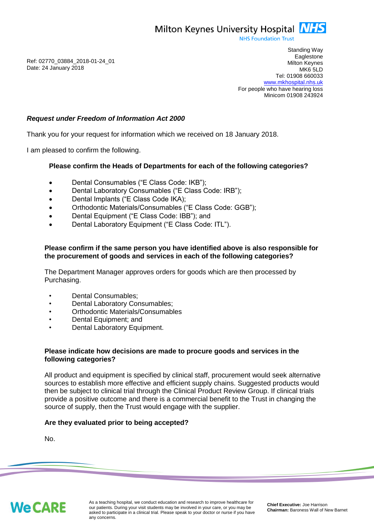Milton Keynes University Hospital **NHS** 

**NHS Foundation Trust** 

Ref: 02770\_03884\_2018-01-24\_01 Date: 24 January 2018

Standing Way **Eaglestone** Milton Keynes MK6 5LD Tel: 01908 660033 [www.mkhospital.nhs.uk](http://www.mkhospital.nhs.uk/) For people who have hearing loss Minicom 01908 243924

# *Request under Freedom of Information Act 2000*

Thank you for your request for information which we received on 18 January 2018.

I am pleased to confirm the following.

### **Please confirm the Heads of Departments for each of the following categories?**

- Dental Consumables ("E Class Code: IKB");
- Dental Laboratory Consumables ("E Class Code: IRB");
- Dental Implants ("E Class Code IKA);
- Orthodontic Materials/Consumables ("E Class Code: GGB");
- Dental Equipment ("E Class Code: IBB"); and
- Dental Laboratory Equipment ("E Class Code: ITL").

### **Please confirm if the same person you have identified above is also responsible for the procurement of goods and services in each of the following categories?**

The Department Manager approves orders for goods which are then processed by Purchasing.

- Dental Consumables;
- Dental Laboratory Consumables;
- Orthodontic Materials/Consumables
- Dental Equipment; and
- Dental Laboratory Equipment.

### **Please indicate how decisions are made to procure goods and services in the following categories?**

All product and equipment is specified by clinical staff, procurement would seek alternative sources to establish more effective and efficient supply chains. Suggested products would then be subject to clinical trial through the Clinical Product Review Group. If clinical trials provide a positive outcome and there is a commercial benefit to the Trust in changing the source of supply, then the Trust would engage with the supplier.

#### **Are they evaluated prior to being accepted?**

No.

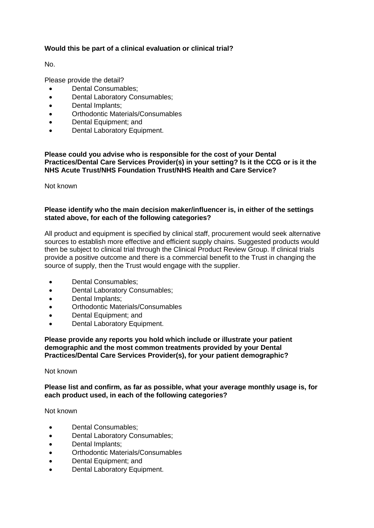# **Would this be part of a clinical evaluation or clinical trial?**

No.

Please provide the detail?

- Dental Consumables;
- Dental Laboratory Consumables:
- Dental Implants;
- Orthodontic Materials/Consumables
- Dental Equipment; and
- Dental Laboratory Equipment.

## **Please could you advise who is responsible for the cost of your Dental Practices/Dental Care Services Provider(s) in your setting? Is it the CCG or is it the NHS Acute Trust/NHS Foundation Trust/NHS Health and Care Service?**

Not known

## **Please identify who the main decision maker/influencer is, in either of the settings stated above, for each of the following categories?**

All product and equipment is specified by clinical staff, procurement would seek alternative sources to establish more effective and efficient supply chains. Suggested products would then be subject to clinical trial through the Clinical Product Review Group. If clinical trials provide a positive outcome and there is a commercial benefit to the Trust in changing the source of supply, then the Trust would engage with the supplier.

- Dental Consumables;
- Dental Laboratory Consumables:
- Dental Implants;
- Orthodontic Materials/Consumables
- Dental Equipment; and
- Dental Laboratory Equipment.

**Please provide any reports you hold which include or illustrate your patient demographic and the most common treatments provided by your Dental Practices/Dental Care Services Provider(s), for your patient demographic?**

#### Not known

**Please list and confirm, as far as possible, what your average monthly usage is, for each product used, in each of the following categories?** 

Not known

- Dental Consumables:
- Dental Laboratory Consumables;
- Dental Implants:
- Orthodontic Materials/Consumables
- Dental Equipment: and
- Dental Laboratory Equipment.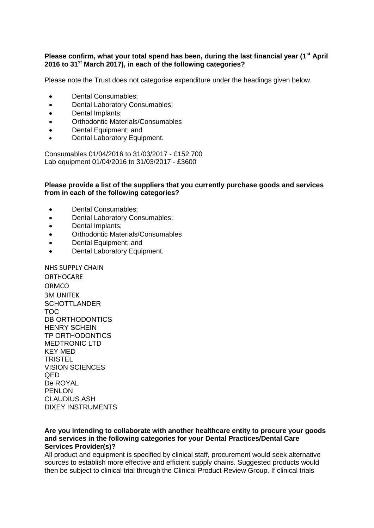# **Please confirm, what your total spend has been, during the last financial year (1st April 2016 to 31st March 2017), in each of the following categories?**

Please note the Trust does not categorise expenditure under the headings given below.

- Dental Consumables:
- Dental Laboratory Consumables:
- Dental Implants;
- Orthodontic Materials/Consumables
- Dental Equipment: and
- Dental Laboratory Equipment.

Consumables 01/04/2016 to 31/03/2017 - £152,700 Lab equipment 01/04/2016 to 31/03/2017 - £3600

#### **Please provide a list of the suppliers that you currently purchase goods and services from in each of the following categories?**

- Dental Consumables;
- Dental Laboratory Consumables;
- Dental Implants;
- Orthodontic Materials/Consumables
- Dental Equipment; and
- Dental Laboratory Equipment.

NHS SUPPLY CHAIN **ORTHOCARE** ORMCO 3M UNITEK **SCHOTTLANDER** TOC DB ORTHODONTICS HENRY SCHEIN TP ORTHODONTICS MEDTRONIC LTD KEY MED **TRISTEL** VISION SCIENCES QED De ROYAL PFNI ON CLAUDIUS ASH DIXEY INSTRUMENTS

#### **Are you intending to collaborate with another healthcare entity to procure your goods and services in the following categories for your Dental Practices/Dental Care Services Provider(s)?**

All product and equipment is specified by clinical staff, procurement would seek alternative sources to establish more effective and efficient supply chains. Suggested products would then be subject to clinical trial through the Clinical Product Review Group. If clinical trials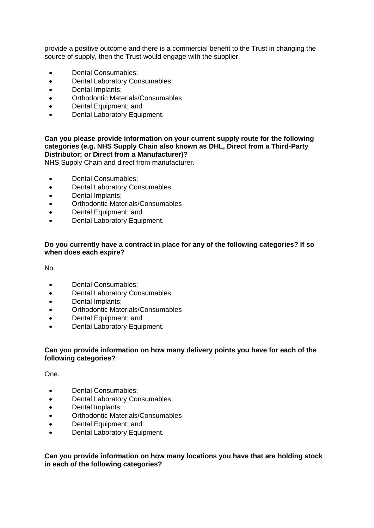provide a positive outcome and there is a commercial benefit to the Trust in changing the source of supply, then the Trust would engage with the supplier.

- Dental Consumables:
- Dental Laboratory Consumables;
- Dental Implants;
- Orthodontic Materials/Consumables
- Dental Equipment; and
- Dental Laboratory Equipment.

# **Can you please provide information on your current supply route for the following categories (e.g. NHS Supply Chain also known as DHL, Direct from a Third-Party Distributor; or Direct from a Manufacturer)?**

NHS Supply Chain and direct from manufacturer.

- Dental Consumables;
- Dental Laboratory Consumables;
- Dental Implants;
- Orthodontic Materials/Consumables
- Dental Equipment; and
- Dental Laboratory Equipment.

# **Do you currently have a contract in place for any of the following categories? If so when does each expire?**

No.

- Dental Consumables:
- Dental Laboratory Consumables;
- Dental Implants:
- Orthodontic Materials/Consumables
- Dental Equipment; and
- Dental Laboratory Equipment.

# **Can you provide information on how many delivery points you have for each of the following categories?**

One.

- Dental Consumables:
- Dental Laboratory Consumables;
- Dental Implants;
- Orthodontic Materials/Consumables
- Dental Equipment; and
- Dental Laboratory Equipment.

# **Can you provide information on how many locations you have that are holding stock in each of the following categories?**